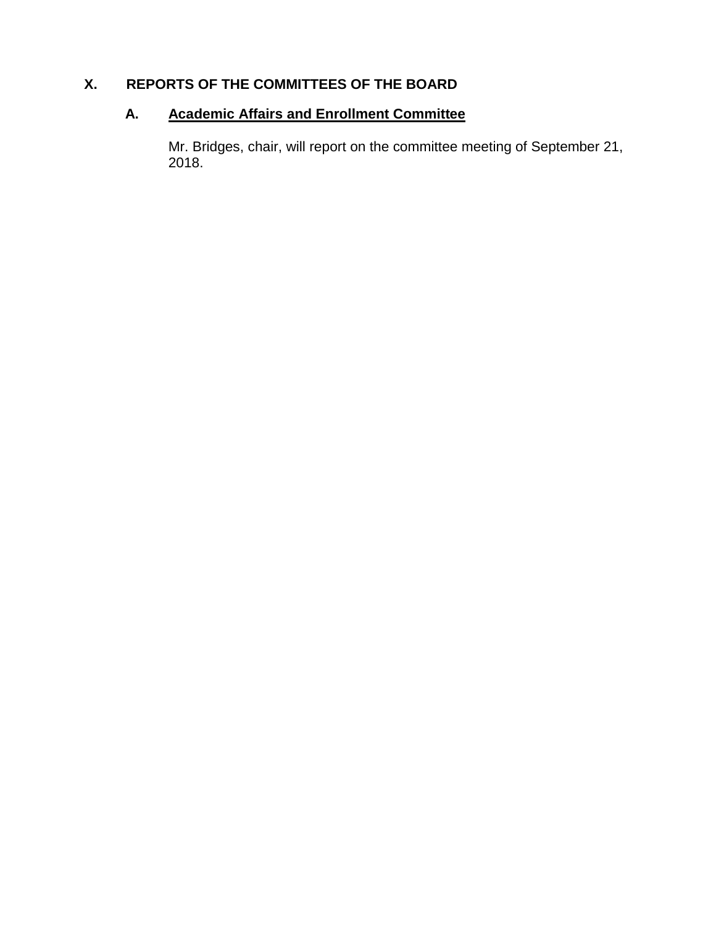## **X. REPORTS OF THE COMMITTEES OF THE BOARD**

# **A. Academic Affairs and Enrollment Committee**

Mr. Bridges, chair, will report on the committee meeting of September 21, 2018.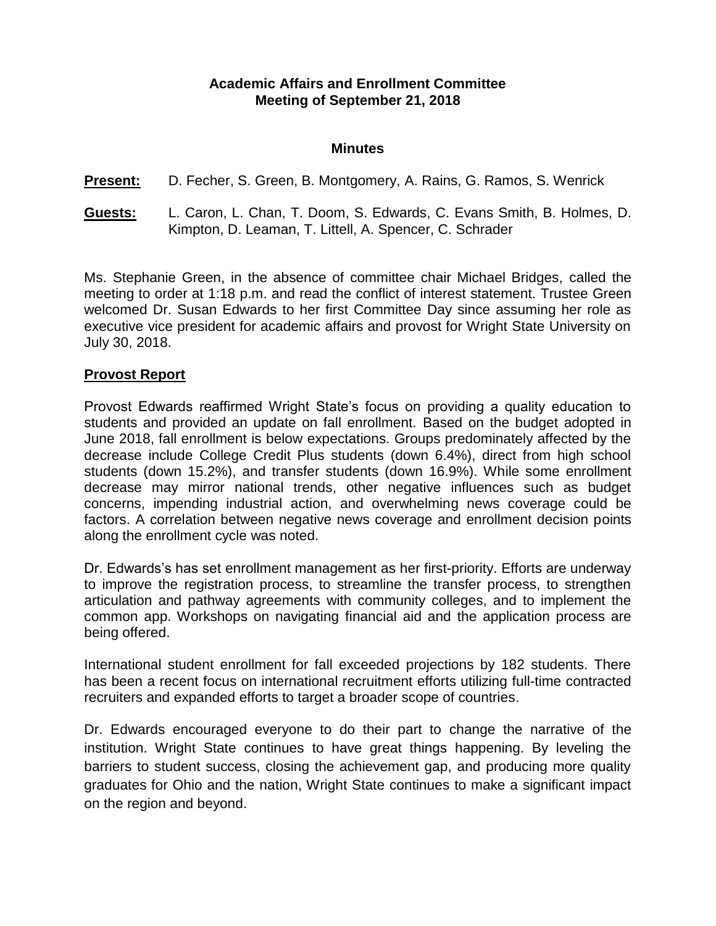#### **Academic Affairs and Enrollment Committee Meeting of September 21, 2018**

#### **Minutes**

**Present:** D. Fecher, S. Green, B. Montgomery, A. Rains, G. Ramos, S. Wenrick

**Guests:** L. Caron, L. Chan, T. Doom, S. Edwards, C. Evans Smith, B. Holmes, D. Kimpton, D. Leaman, T. Littell, A. Spencer, C. Schrader

Ms. Stephanie Green, in the absence of committee chair Michael Bridges, called the meeting to order at 1:18 p.m. and read the conflict of interest statement. Trustee Green welcomed Dr. Susan Edwards to her first Committee Day since assuming her role as executive vice president for academic affairs and provost for Wright State University on July 30, 2018.

#### **Provost Report**

Provost Edwards reaffirmed Wright State's focus on providing a quality education to students and provided an update on fall enrollment. Based on the budget adopted in June 2018, fall enrollment is below expectations. Groups predominately affected by the decrease include College Credit Plus students (down 6.4%), direct from high school students (down 15.2%), and transfer students (down 16.9%). While some enrollment decrease may mirror national trends, other negative influences such as budget concerns, impending industrial action, and overwhelming news coverage could be factors. A correlation between negative news coverage and enrollment decision points along the enrollment cycle was noted.

Dr. Edwards's has set enrollment management as her first-priority. Efforts are underway to improve the registration process, to streamline the transfer process, to strengthen articulation and pathway agreements with community colleges, and to implement the common app. Workshops on navigating financial aid and the application process are being offered.

International student enrollment for fall exceeded projections by 182 students. There has been a recent focus on international recruitment efforts utilizing full-time contracted recruiters and expanded efforts to target a broader scope of countries.

Dr. Edwards encouraged everyone to do their part to change the narrative of the institution. Wright State continues to have great things happening. By leveling the barriers to student success, closing the achievement gap, and producing more quality graduates for Ohio and the nation, Wright State continues to make a significant impact on the region and beyond.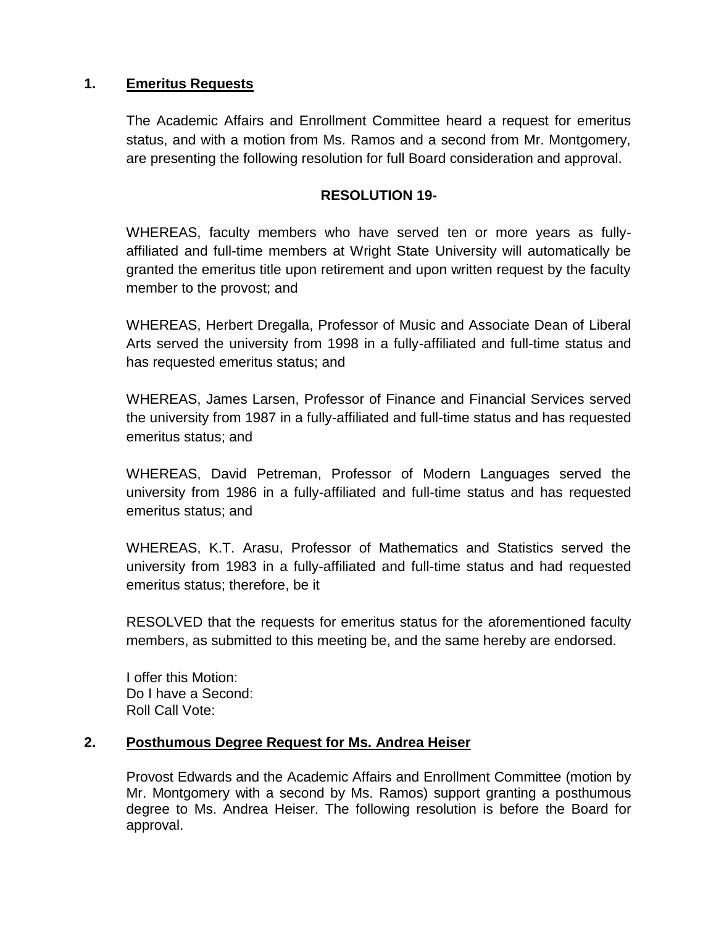### **1. Emeritus Requests**

The Academic Affairs and Enrollment Committee heard a request for emeritus status, and with a motion from Ms. Ramos and a second from Mr. Montgomery, are presenting the following resolution for full Board consideration and approval.

### **RESOLUTION 19-**

WHEREAS, faculty members who have served ten or more years as fullyaffiliated and full-time members at Wright State University will automatically be granted the emeritus title upon retirement and upon written request by the faculty member to the provost; and

WHEREAS, Herbert Dregalla, Professor of Music and Associate Dean of Liberal Arts served the university from 1998 in a fully-affiliated and full-time status and has requested emeritus status; and

WHEREAS, James Larsen, Professor of Finance and Financial Services served the university from 1987 in a fully-affiliated and full-time status and has requested emeritus status; and

WHEREAS, David Petreman, Professor of Modern Languages served the university from 1986 in a fully-affiliated and full-time status and has requested emeritus status; and

WHEREAS, K.T. Arasu, Professor of Mathematics and Statistics served the university from 1983 in a fully-affiliated and full-time status and had requested emeritus status; therefore, be it

RESOLVED that the requests for emeritus status for the aforementioned faculty members, as submitted to this meeting be, and the same hereby are endorsed.

I offer this Motion: Do I have a Second: Roll Call Vote:

#### **2. Posthumous Degree Request for Ms. Andrea Heiser**

Provost Edwards and the Academic Affairs and Enrollment Committee (motion by Mr. Montgomery with a second by Ms. Ramos) support granting a posthumous degree to Ms. Andrea Heiser. The following resolution is before the Board for approval.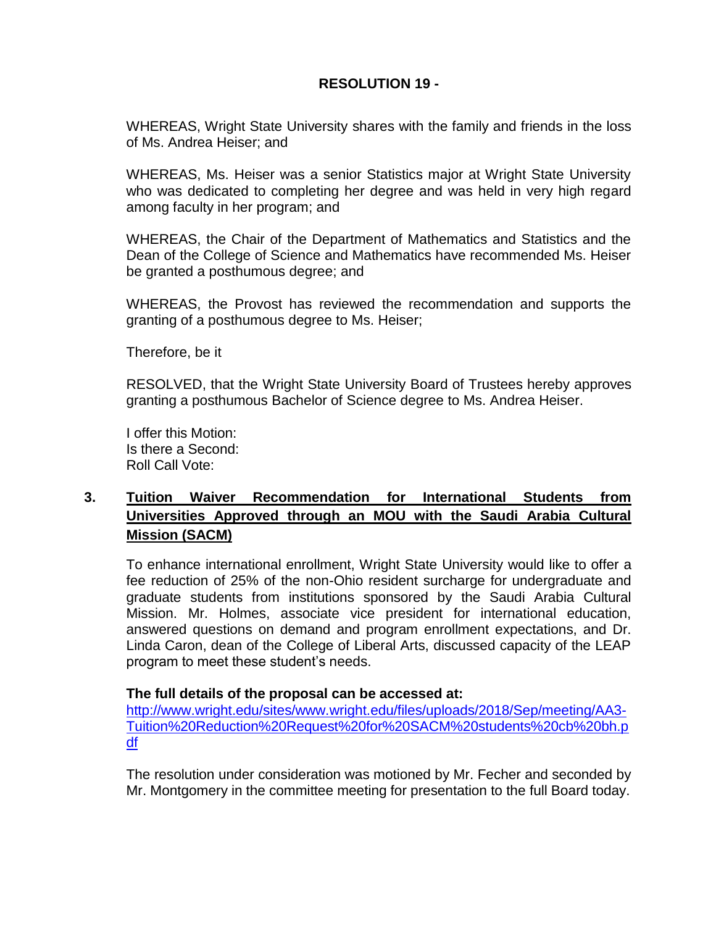## **RESOLUTION 19 -**

WHEREAS, Wright State University shares with the family and friends in the loss of Ms. Andrea Heiser; and

WHEREAS, Ms. Heiser was a senior Statistics major at Wright State University who was dedicated to completing her degree and was held in very high regard among faculty in her program; and

WHEREAS, the Chair of the Department of Mathematics and Statistics and the Dean of the College of Science and Mathematics have recommended Ms. Heiser be granted a posthumous degree; and

WHEREAS, the Provost has reviewed the recommendation and supports the granting of a posthumous degree to Ms. Heiser;

Therefore, be it

RESOLVED, that the Wright State University Board of Trustees hereby approves granting a posthumous Bachelor of Science degree to Ms. Andrea Heiser.

I offer this Motion: Is there a Second: Roll Call Vote:

## **3. Tuition Waiver Recommendation for International Students from Universities Approved through an MOU with the Saudi Arabia Cultural Mission (SACM)**

To enhance international enrollment, Wright State University would like to offer a fee reduction of 25% of the non-Ohio resident surcharge for undergraduate and graduate students from institutions sponsored by the Saudi Arabia Cultural Mission. Mr. Holmes, associate vice president for international education, answered questions on demand and program enrollment expectations, and Dr. Linda Caron, dean of the College of Liberal Arts, discussed capacity of the LEAP program to meet these student's needs.

#### **The full details of the proposal can be accessed at:**

[http://www.wright.edu/sites/www.wright.edu/files/uploads/2018/Sep/meeting/AA3-](http://www.wright.edu/sites/www.wright.edu/files/uploads/2018/Sep/meeting/AA3-Tuition%20Reduction%20Request%20for%20SACM%20students%20cb%20bh.pdf) [Tuition%20Reduction%20Request%20for%20SACM%20students%20cb%20bh.p](http://www.wright.edu/sites/www.wright.edu/files/uploads/2018/Sep/meeting/AA3-Tuition%20Reduction%20Request%20for%20SACM%20students%20cb%20bh.pdf) [df](http://www.wright.edu/sites/www.wright.edu/files/uploads/2018/Sep/meeting/AA3-Tuition%20Reduction%20Request%20for%20SACM%20students%20cb%20bh.pdf)

The resolution under consideration was motioned by Mr. Fecher and seconded by Mr. Montgomery in the committee meeting for presentation to the full Board today.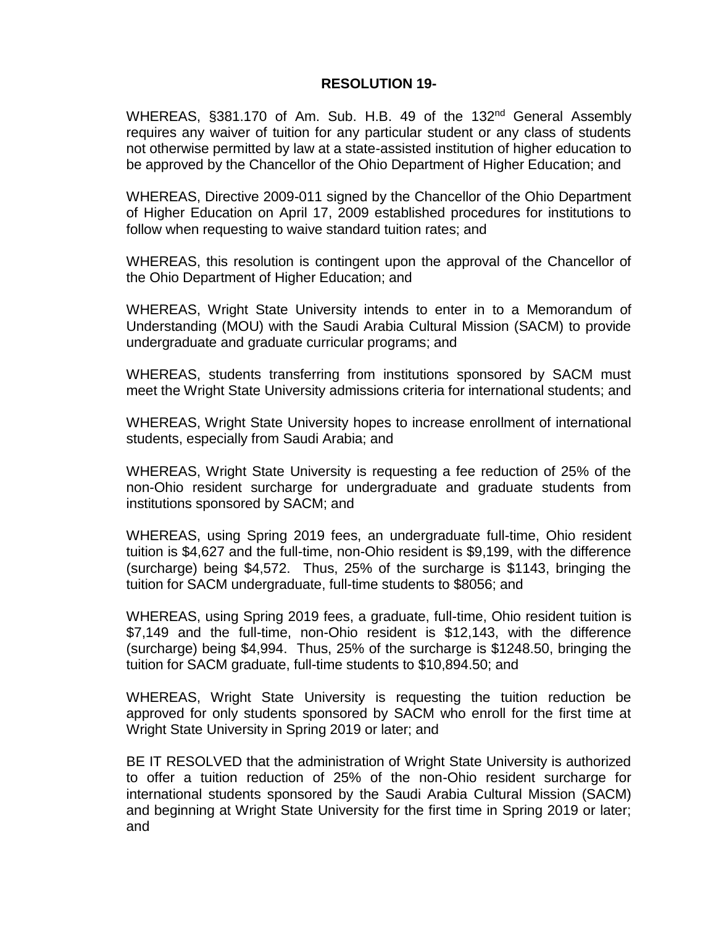#### **RESOLUTION 19-**

WHEREAS, §381.170 of Am. Sub. H.B. 49 of the 132<sup>nd</sup> General Assembly requires any waiver of tuition for any particular student or any class of students not otherwise permitted by law at a state-assisted institution of higher education to be approved by the Chancellor of the Ohio Department of Higher Education; and

WHEREAS, Directive 2009-011 signed by the Chancellor of the Ohio Department of Higher Education on April 17, 2009 established procedures for institutions to follow when requesting to waive standard tuition rates; and

WHEREAS, this resolution is contingent upon the approval of the Chancellor of the Ohio Department of Higher Education; and

WHEREAS, Wright State University intends to enter in to a Memorandum of Understanding (MOU) with the Saudi Arabia Cultural Mission (SACM) to provide undergraduate and graduate curricular programs; and

WHEREAS, students transferring from institutions sponsored by SACM must meet the Wright State University admissions criteria for international students; and

WHEREAS, Wright State University hopes to increase enrollment of international students, especially from Saudi Arabia; and

WHEREAS, Wright State University is requesting a fee reduction of 25% of the non-Ohio resident surcharge for undergraduate and graduate students from institutions sponsored by SACM; and

WHEREAS, using Spring 2019 fees, an undergraduate full-time, Ohio resident tuition is \$4,627 and the full-time, non-Ohio resident is \$9,199, with the difference (surcharge) being \$4,572. Thus, 25% of the surcharge is \$1143, bringing the tuition for SACM undergraduate, full-time students to \$8056; and

WHEREAS, using Spring 2019 fees, a graduate, full-time, Ohio resident tuition is \$7,149 and the full-time, non-Ohio resident is \$12,143, with the difference (surcharge) being \$4,994. Thus, 25% of the surcharge is \$1248.50, bringing the tuition for SACM graduate, full-time students to \$10,894.50; and

WHEREAS, Wright State University is requesting the tuition reduction be approved for only students sponsored by SACM who enroll for the first time at Wright State University in Spring 2019 or later; and

BE IT RESOLVED that the administration of Wright State University is authorized to offer a tuition reduction of 25% of the non-Ohio resident surcharge for international students sponsored by the Saudi Arabia Cultural Mission (SACM) and beginning at Wright State University for the first time in Spring 2019 or later; and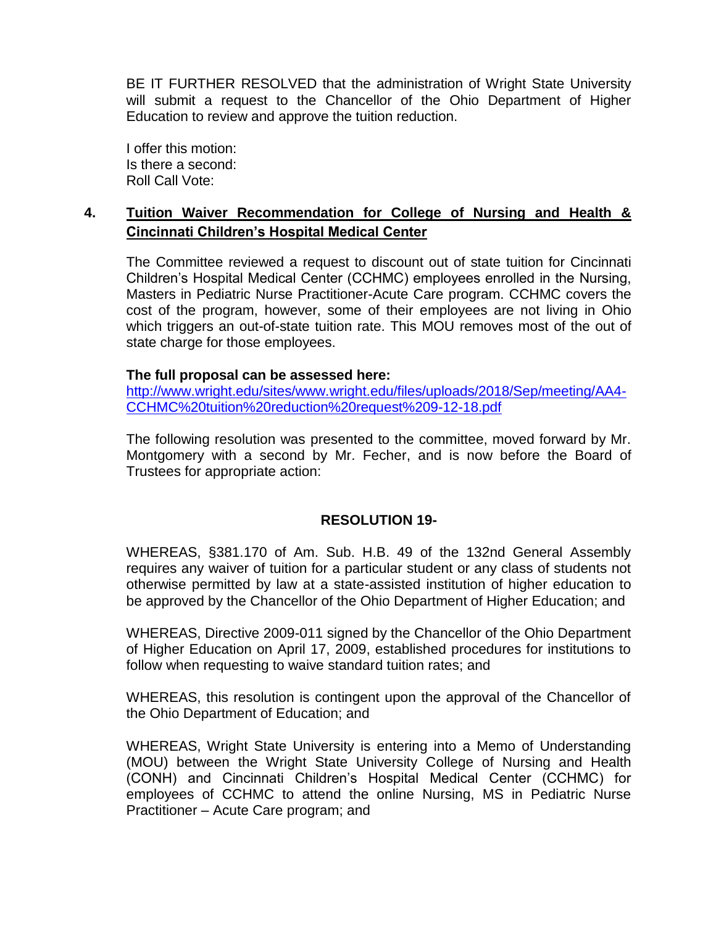BE IT FURTHER RESOLVED that the administration of Wright State University will submit a request to the Chancellor of the Ohio Department of Higher Education to review and approve the tuition reduction.

I offer this motion: Is there a second: Roll Call Vote:

### **4. Tuition Waiver Recommendation for College of Nursing and Health & Cincinnati Children's Hospital Medical Center**

The Committee reviewed a request to discount out of state tuition for Cincinnati Children's Hospital Medical Center (CCHMC) employees enrolled in the Nursing, Masters in Pediatric Nurse Practitioner-Acute Care program. CCHMC covers the cost of the program, however, some of their employees are not living in Ohio which triggers an out-of-state tuition rate. This MOU removes most of the out of state charge for those employees.

#### **The full proposal can be assessed here:**

[http://www.wright.edu/sites/www.wright.edu/files/uploads/2018/Sep/meeting/AA4-](http://www.wright.edu/sites/www.wright.edu/files/uploads/2018/Sep/meeting/AA4-CCHMC%20tuition%20reduction%20request%209-12-18.pdf) [CCHMC%20tuition%20reduction%20request%209-12-18.pdf](http://www.wright.edu/sites/www.wright.edu/files/uploads/2018/Sep/meeting/AA4-CCHMC%20tuition%20reduction%20request%209-12-18.pdf)

The following resolution was presented to the committee, moved forward by Mr. Montgomery with a second by Mr. Fecher, and is now before the Board of Trustees for appropriate action:

#### **RESOLUTION 19-**

WHEREAS, §381.170 of Am. Sub. H.B. 49 of the 132nd General Assembly requires any waiver of tuition for a particular student or any class of students not otherwise permitted by law at a state-assisted institution of higher education to be approved by the Chancellor of the Ohio Department of Higher Education; and

WHEREAS, Directive 2009-011 signed by the Chancellor of the Ohio Department of Higher Education on April 17, 2009, established procedures for institutions to follow when requesting to waive standard tuition rates; and

WHEREAS, this resolution is contingent upon the approval of the Chancellor of the Ohio Department of Education; and

WHEREAS, Wright State University is entering into a Memo of Understanding (MOU) between the Wright State University College of Nursing and Health (CONH) and Cincinnati Children's Hospital Medical Center (CCHMC) for employees of CCHMC to attend the online Nursing, MS in Pediatric Nurse Practitioner – Acute Care program; and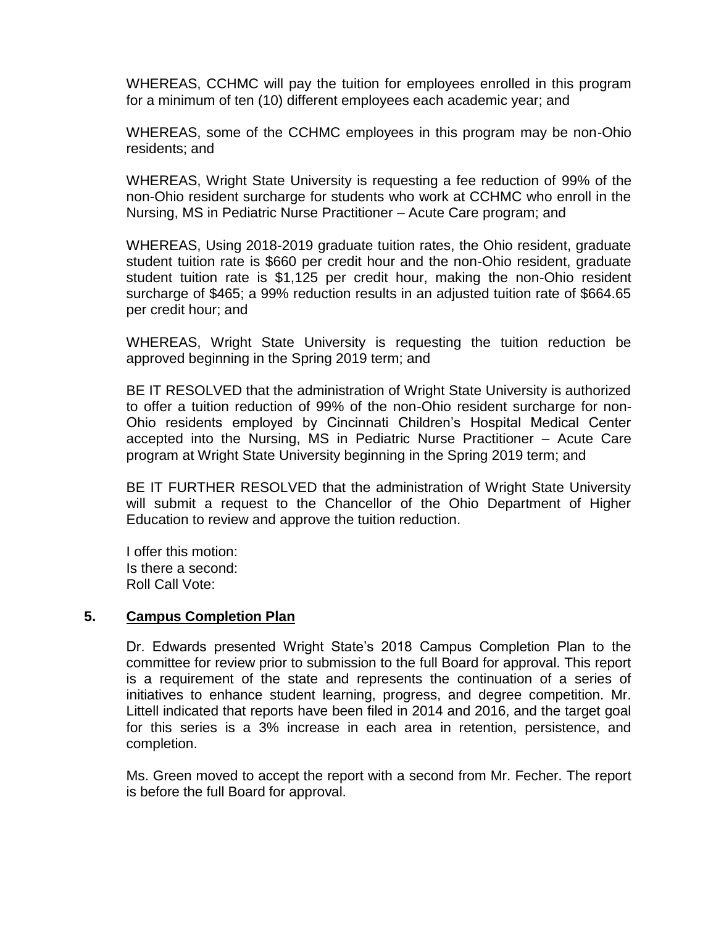WHEREAS, CCHMC will pay the tuition for employees enrolled in this program for a minimum of ten (10) different employees each academic year; and

WHEREAS, some of the CCHMC employees in this program may be non-Ohio residents; and

WHEREAS, Wright State University is requesting a fee reduction of 99% of the non-Ohio resident surcharge for students who work at CCHMC who enroll in the Nursing, MS in Pediatric Nurse Practitioner – Acute Care program; and

WHEREAS, Using 2018-2019 graduate tuition rates, the Ohio resident, graduate student tuition rate is \$660 per credit hour and the non-Ohio resident, graduate student tuition rate is \$1,125 per credit hour, making the non-Ohio resident surcharge of \$465; a 99% reduction results in an adjusted tuition rate of \$664.65 per credit hour; and

WHEREAS, Wright State University is requesting the tuition reduction be approved beginning in the Spring 2019 term; and

BE IT RESOLVED that the administration of Wright State University is authorized to offer a tuition reduction of 99% of the non-Ohio resident surcharge for non-Ohio residents employed by Cincinnati Children's Hospital Medical Center accepted into the Nursing, MS in Pediatric Nurse Practitioner – Acute Care program at Wright State University beginning in the Spring 2019 term; and

BE IT FURTHER RESOLVED that the administration of Wright State University will submit a request to the Chancellor of the Ohio Department of Higher Education to review and approve the tuition reduction.

I offer this motion: Is there a second: Roll Call Vote:

#### **5. Campus Completion Plan**

Dr. Edwards presented Wright State's 2018 Campus Completion Plan to the committee for review prior to submission to the full Board for approval. This report is a requirement of the state and represents the continuation of a series of initiatives to enhance student learning, progress, and degree competition. Mr. Littell indicated that reports have been filed in 2014 and 2016, and the target goal for this series is a 3% increase in each area in retention, persistence, and completion.

Ms. Green moved to accept the report with a second from Mr. Fecher. The report is before the full Board for approval.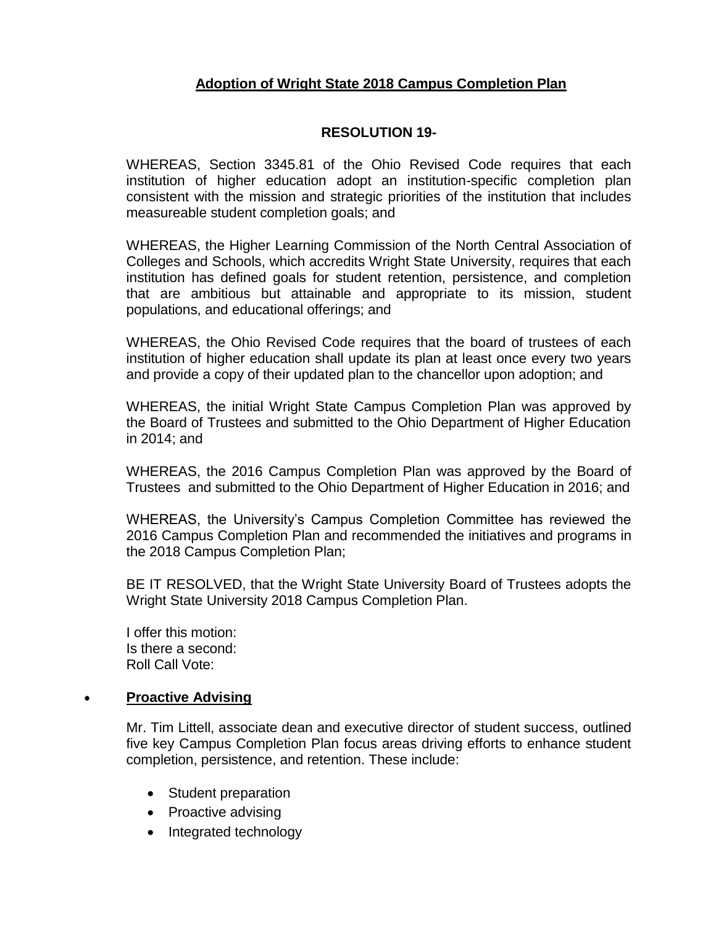## **Adoption of Wright State 2018 Campus Completion Plan**

#### **RESOLUTION 19-**

WHEREAS, Section 3345.81 of the Ohio Revised Code requires that each institution of higher education adopt an institution-specific completion plan consistent with the mission and strategic priorities of the institution that includes measureable student completion goals; and

WHEREAS, the Higher Learning Commission of the North Central Association of Colleges and Schools, which accredits Wright State University, requires that each institution has defined goals for student retention, persistence, and completion that are ambitious but attainable and appropriate to its mission, student populations, and educational offerings; and

WHEREAS, the Ohio Revised Code requires that the board of trustees of each institution of higher education shall update its plan at least once every two years and provide a copy of their updated plan to the chancellor upon adoption; and

WHEREAS, the initial Wright State Campus Completion Plan was approved by the Board of Trustees and submitted to the Ohio Department of Higher Education in 2014; and

WHEREAS, the 2016 Campus Completion Plan was approved by the Board of Trustees and submitted to the Ohio Department of Higher Education in 2016; and

WHEREAS, the University's Campus Completion Committee has reviewed the 2016 Campus Completion Plan and recommended the initiatives and programs in the 2018 Campus Completion Plan;

BE IT RESOLVED, that the Wright State University Board of Trustees adopts the Wright State University 2018 Campus Completion Plan.

I offer this motion: Is there a second: Roll Call Vote:

#### **Proactive Advising**

Mr. Tim Littell, associate dean and executive director of student success, outlined five key Campus Completion Plan focus areas driving efforts to enhance student completion, persistence, and retention. These include:

- Student preparation
- Proactive advising
- Integrated technology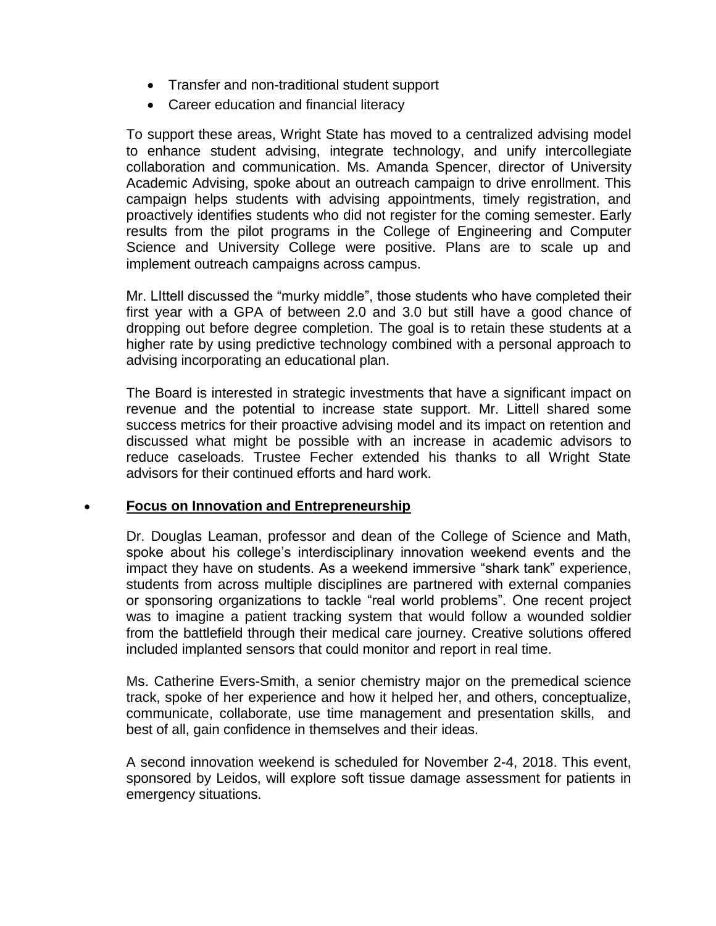- Transfer and non-traditional student support
- Career education and financial literacy

To support these areas, Wright State has moved to a centralized advising model to enhance student advising, integrate technology, and unify intercollegiate collaboration and communication. Ms. Amanda Spencer, director of University Academic Advising, spoke about an outreach campaign to drive enrollment. This campaign helps students with advising appointments, timely registration, and proactively identifies students who did not register for the coming semester. Early results from the pilot programs in the College of Engineering and Computer Science and University College were positive. Plans are to scale up and implement outreach campaigns across campus.

Mr. LIttell discussed the "murky middle", those students who have completed their first year with a GPA of between 2.0 and 3.0 but still have a good chance of dropping out before degree completion. The goal is to retain these students at a higher rate by using predictive technology combined with a personal approach to advising incorporating an educational plan.

The Board is interested in strategic investments that have a significant impact on revenue and the potential to increase state support. Mr. Littell shared some success metrics for their proactive advising model and its impact on retention and discussed what might be possible with an increase in academic advisors to reduce caseloads. Trustee Fecher extended his thanks to all Wright State advisors for their continued efforts and hard work.

#### **Focus on Innovation and Entrepreneurship**

Dr. Douglas Leaman, professor and dean of the College of Science and Math, spoke about his college's interdisciplinary innovation weekend events and the impact they have on students. As a weekend immersive "shark tank" experience, students from across multiple disciplines are partnered with external companies or sponsoring organizations to tackle "real world problems". One recent project was to imagine a patient tracking system that would follow a wounded soldier from the battlefield through their medical care journey. Creative solutions offered included implanted sensors that could monitor and report in real time.

Ms. Catherine Evers-Smith, a senior chemistry major on the premedical science track, spoke of her experience and how it helped her, and others, conceptualize, communicate, collaborate, use time management and presentation skills, and best of all, gain confidence in themselves and their ideas.

A second innovation weekend is scheduled for November 2-4, 2018. This event, sponsored by Leidos, will explore soft tissue damage assessment for patients in emergency situations.